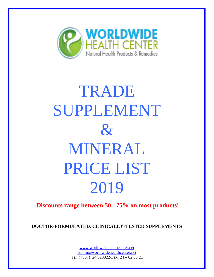

## TRADE SUPPLEMENT  $\mathcal{R}_{I}$ MINERAL PRICE LIST 2019

**Discounts range between 50 - 75% on most products!**

**DOCTOR-FORMULATED, CLINICALLY-TESTED SUPPLEMENTS**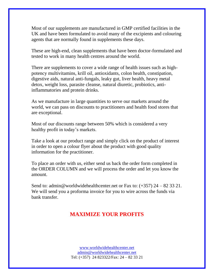Most of our supplements are manufactured in GMP certified facilities in the UK and have been formulated to avoid many of the excipients and colouring agents that are normally found in supplements these days.

These are high-end, clean supplements that have been doctor-formulated and tested to work in many health centres around the world.

There are supplements to cover a wide range of health issues such as highpotency multivitamins, krill oil, antioxidants, colon health, constipation, digestive aids, natural anti-fungals, leaky gut, liver health, heavy metal detox, weight loss, parasite cleanse, natural diuretic, probiotics, antiinflammatories and protein drinks.

As we manufacture in large quantities to serve our markets around the world, we can pass on discounts to practitioners and health food stores that are exceptional.

Most of our discounts range between 50% which is considered a very healthy profit in today's markets.

Take a look at our product range and simply click on the product of interest in order to open a colour flyer about the product with good quality information for the practitioner.

To place an order with us, either send us back the order form completed in the ORDER COLUMN and we will process the order and let you know the amount.

Send to: admin@worldwidehealthcenter.net or Fax to:  $(+357)$  24 – 82 33 21. We will send you a proforma invoice for you to wire across the funds via bank transfer.

## **MAXIMIZE YOUR PROFITS**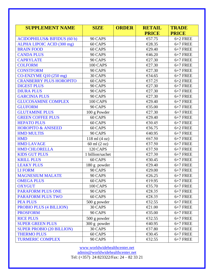| <b>SUPPLEMENT NAME</b>                 | <b>SIZE</b>       | <b>ORDER</b> | <b>RETAIL</b> | <b>TRADE</b> |
|----------------------------------------|-------------------|--------------|---------------|--------------|
|                                        |                   |              | <b>PRICE</b>  | <b>PRICE</b> |
| <b>ACIDOPHILUS&amp; BIFIDUS (60 b)</b> | 90 CAPS           |              | €57.75        | $6+2$ FREE   |
| ALPHA LIPOIC ACID (300 mg)             | 60 CAPS           |              | €28.35        | $6+7$ FREE   |
| <b>BRAIN FOOD</b>                      | 60 CAPS           |              | €29.40        | $6+7$ FREE   |
| <b>CANDA PLUS</b>                      | 90 CAPS           |              | €46.20        | $6+7$ FREE   |
| <b>CAPRYLATE</b>                       | 90 CAPS           |              | €27.30        | $6+7$ FREE   |
| <b>COLFORM</b>                         | 100 CAPS          |              | €27.30        | $6+7$ FREE   |
| <b>CONSTFORM</b>                       | 90 CAPS           |              | €27.30        | $6+7$ FREE   |
| CO-ENZYME Q10 (250 mg)                 | 30 CAPS           |              | €34.65        | $6+7$ FREE   |
| <b>CRANBERRY PLUS HOROPITO</b>         | 60 CAPS           |              | €37.25        | $6+2$ FREE   |
| <b>DIGEST PLUS</b>                     | 90 CAPS           |              | €27.30        | $6+7$ FREE   |
| <b>DIURA PLUS</b>                      | 90 CAPS           |              | €27.30        | $6+7$ FREE   |
| <b>GARCINIA PLUS</b>                   | 90 CAPS           |              | €27.30        | $6+7$ FREE   |
| <b>GLUCOSAMINE COMPLEX</b>             | 100 CAPS          |              | €29.40        | $6+7$ FREE   |
| <b>GLUFORM</b>                         | 90 CAPS           |              | €35.00        | $6+7$ FREE   |
| <b>GLUTAMINE PLUS</b>                  | 100 g Powder      |              | €27.30        | $6+7$ FREE   |
| <b>GREEN COFFEE PLUS</b>               | 60 CAPS           |              | €29.40        | $6+7$ FREE   |
| <b>HEPATO PLUS</b>                     | 60 CAPS           |              | €30.45        | $6+7$ FREE   |
| <b>HOROPITO &amp; ANISEED</b>          | 60 CAPS           |              | €36.75        | $6+2$ FREE   |
| <b>HMD MULTIS</b>                      | 90 CAPS           |              | €40.95        | $6+7$ FREE   |
| <b>HMD</b>                             | $118$ ml $(4 oz)$ |              | €67.50        | $6+7$ FREE   |
| <b>HMD LAVAGE</b>                      | 60 ml (2 oz)      |              | €37.50        | $6+7$ FREE   |
| <b>HMD CHLORELLA</b>                   | <b>120 CAPS</b>   |              | €37.50        | $6+7$ FREE   |
| <b>KIDS GUT PLUS</b>                   | 1 billion/sachet  |              | €27.30        | $6+7$ FREE   |
| <b>KRILL PLUS</b>                      | 60 CAPS           |              | €30.45        | $6+7$ FREE   |
| <b>LEAKY PLUS</b>                      | 180 g powder      |              | €29.40        | $6+7$ FREE   |
| <b>LI FORM</b>                         | 90 CAPS           |              | €29.00        | $6+7$ FREE   |
| <b>MAGNESIUM MALATE</b>                | 90 CAPS           |              | €26.25        | $6+7$ FREE   |
| <b>OMEGA PLUS</b>                      | 60 CAPS           |              | €19.95        | $6+7$ FREE   |
| <b>OXYGUT</b>                          | 100 CAPS          |              | €35.70        | $6+7$ FREE   |
| <b>PARAFORM PLUS ONE</b>               | 90 CAPS           |              | €28.35        | $6+7$ FREE   |
| <b>PARAFORM PLUS TWO</b>               | 60 CAPS           |              | €28.35        | $6+7$ FREE   |
| <b>PEA PLUS</b>                        | 500 g powder      |              | €32.55        | $6+7$ FREE   |
| PROBIO PLUS (4 BILLION)                | 30 CAPS           |              | €21.00        | $6+7$ FREE   |
| <b>PROSFORM</b>                        | 90 CAPS           |              | €35.00        | $6+7$ FREE   |
| <b>RICE PLUS</b>                       | 500 g powder      |              | €32.55        | $6+7$ FREE   |
| <b>SUPER GREEN PLUS</b>                | 300 g powder      |              | €40.95        | $6+7$ FREE   |
| <b>SUPER PROBIO (20 BILLION)</b>       | 30 CAPS           |              | €37.80        | $6+7$ FREE   |
| <b>THERMO PLUS</b>                     | 60 CAPS           |              | €30.45        | $6+7$ FREE   |
| <b>TURMERIC COMPLEX</b>                | 90 CAPS           |              | €32.55        | $6+7$ FREE   |